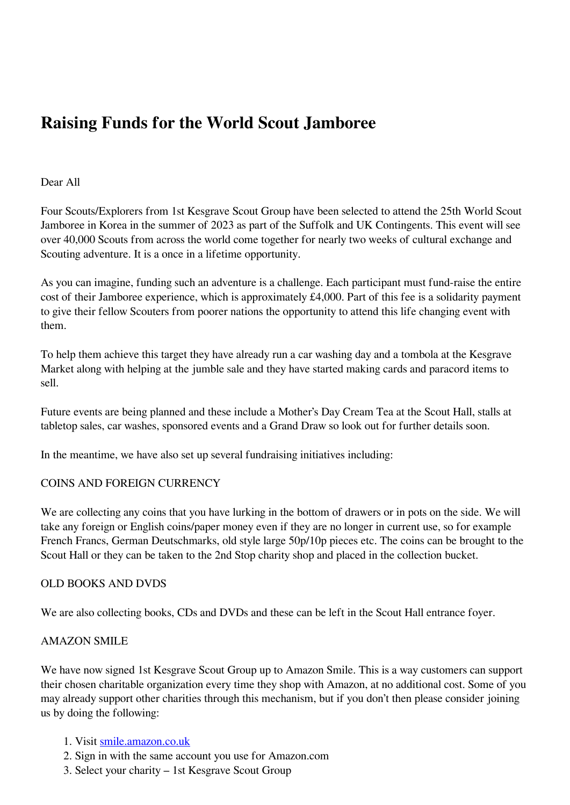# **Raising Funds for the World Scout Jamboree**

# Dear All

Four Scouts/Explorers from 1st Kesgrave Scout Group have been selected to attend the 25th World Scout Jamboree in Korea in the summer of 2023 as part of the Suffolk and UK Contingents. This event will see over 40,000 Scouts from across the world come together for nearly two weeks of cultural exchange and Scouting adventure. It is a once in a lifetime opportunity.

As you can imagine, funding such an adventure is a challenge. Each participant must fund-raise the entire cost of their Jamboree experience, which is approximately £4,000. Part of this fee is a solidarity payment to give their fellow Scouters from poorer nations the opportunity to attend this life changing event with them.

To help them achieve this target they have already run a car washing day and a tombola at the Kesgrave Market along with helping at the jumble sale and they have started making cards and paracord items to sell.

Future events are being planned and these include a Mother's Day Cream Tea at the Scout Hall, stalls at tabletop sales, car washes, sponsored events and a Grand Draw so look out for further details soon.

In the meantime, we have also set up several fundraising initiatives including:

# COINS AND FOREIGN CURRENCY

We are collecting any coins that you have lurking in the bottom of drawers or in pots on the side. We will take any foreign or English coins/paper money even if they are no longer in current use, so for example French Francs, German Deutschmarks, old style large 50p/10p pieces etc. The coins can be brought to the Scout Hall or they can be taken to the 2nd Stop charity shop and placed in the collection bucket.

# OLD BOOKS AND DVDS

We are also collecting books, CDs and DVDs and these can be left in the Scout Hall entrance foyer.

# AMAZON SMILE

We have now signed 1st Kesgrave Scout Group up to Amazon Smile. This is a way customers can support their chosen charitable organization every time they shop with Amazon, at no additional cost. Some of you may already support other charities through this mechanism, but if you don't then please consider joining us by doing the following:

- 1. Visit [smile.amazon.co.uk](http://smile.amazon.com)
- 2. Sign in with the same account you use for Amazon.com
- 3. Select your charity 1st Kesgrave Scout Group